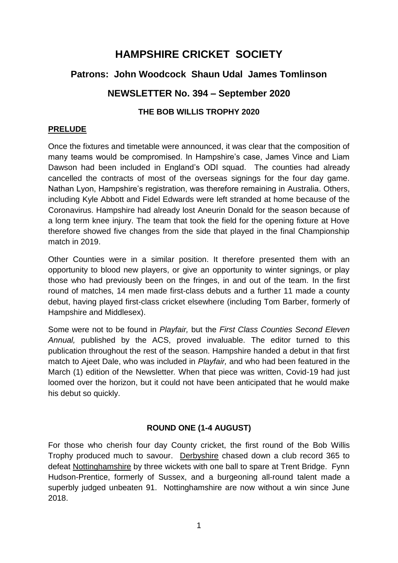# **HAMPSHIRE CRICKET SOCIETY**

# **Patrons: John Woodcock Shaun Udal James Tomlinson**

# **NEWSLETTER No. 394 – September 2020**

### **THE BOB WILLIS TROPHY 2020**

#### **PRELUDE**

Once the fixtures and timetable were announced, it was clear that the composition of many teams would be compromised. In Hampshire's case, James Vince and Liam Dawson had been included in England's ODI squad. The counties had already cancelled the contracts of most of the overseas signings for the four day game. Nathan Lyon, Hampshire's registration, was therefore remaining in Australia. Others, including Kyle Abbott and Fidel Edwards were left stranded at home because of the Coronavirus. Hampshire had already lost Aneurin Donald for the season because of a long term knee injury. The team that took the field for the opening fixture at Hove therefore showed five changes from the side that played in the final Championship match in 2019.

Other Counties were in a similar position. It therefore presented them with an opportunity to blood new players, or give an opportunity to winter signings, or play those who had previously been on the fringes, in and out of the team. In the first round of matches, 14 men made first-class debuts and a further 11 made a county debut, having played first-class cricket elsewhere (including Tom Barber, formerly of Hampshire and Middlesex).

Some were not to be found in *Playfair,* but the *First Class Counties Second Eleven Annual,* published by the ACS, proved invaluable. The editor turned to this publication throughout the rest of the season. Hampshire handed a debut in that first match to Ajeet Dale, who was included in *Playfair,* and who had been featured in the March (1) edition of the Newsletter*.* When that piece was written, Covid-19 had just loomed over the horizon, but it could not have been anticipated that he would make his debut so quickly.

## **ROUND ONE (1-4 AUGUST)**

For those who cherish four day County cricket, the first round of the Bob Willis Trophy produced much to savour. Derbyshire chased down a club record 365 to defeat Nottinghamshire by three wickets with one ball to spare at Trent Bridge. Fynn Hudson-Prentice, formerly of Sussex, and a burgeoning all-round talent made a superbly judged unbeaten 91. Nottinghamshire are now without a win since June 2018.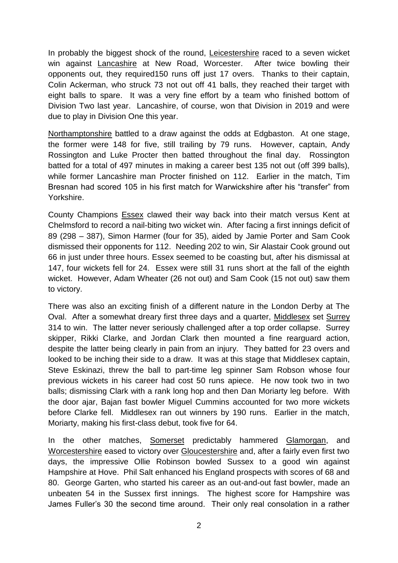In probably the biggest shock of the round, Leicestershire raced to a seven wicket win against Lancashire at New Road, Worcester. After twice bowling their opponents out, they required150 runs off just 17 overs. Thanks to their captain, Colin Ackerman, who struck 73 not out off 41 balls, they reached their target with eight balls to spare. It was a very fine effort by a team who finished bottom of Division Two last year. Lancashire, of course, won that Division in 2019 and were due to play in Division One this year.

Northamptonshire battled to a draw against the odds at Edgbaston. At one stage, the former were 148 for five, still trailing by 79 runs. However, captain, Andy Rossington and Luke Procter then batted throughout the final day. Rossington batted for a total of 497 minutes in making a career best 135 not out (off 399 balls), while former Lancashire man Procter finished on 112. Earlier in the match, Tim Bresnan had scored 105 in his first match for Warwickshire after his "transfer" from Yorkshire.

County Champions Essex clawed their way back into their match versus Kent at Chelmsford to record a nail-biting two wicket win. After facing a first innings deficit of 89 (298 – 387), Simon Harmer (four for 35), aided by Jamie Porter and Sam Cook dismissed their opponents for 112. Needing 202 to win, Sir Alastair Cook ground out 66 in just under three hours. Essex seemed to be coasting but, after his dismissal at 147, four wickets fell for 24. Essex were still 31 runs short at the fall of the eighth wicket. However, Adam Wheater (26 not out) and Sam Cook (15 not out) saw them to victory.

There was also an exciting finish of a different nature in the London Derby at The Oval. After a somewhat dreary first three days and a quarter, Middlesex set Surrey 314 to win. The latter never seriously challenged after a top order collapse. Surrey skipper, Rikki Clarke, and Jordan Clark then mounted a fine rearguard action, despite the latter being clearly in pain from an injury. They batted for 23 overs and looked to be inching their side to a draw. It was at this stage that Middlesex captain, Steve Eskinazi, threw the ball to part-time leg spinner Sam Robson whose four previous wickets in his career had cost 50 runs apiece. He now took two in two balls; dismissing Clark with a rank long hop and then Dan Moriarty leg before. With the door ajar, Bajan fast bowler Miguel Cummins accounted for two more wickets before Clarke fell. Middlesex ran out winners by 190 runs. Earlier in the match, Moriarty, making his first-class debut, took five for 64.

In the other matches, Somerset predictably hammered Glamorgan, and Worcestershire eased to victory over Gloucestershire and, after a fairly even first two days, the impressive Ollie Robinson bowled Sussex to a good win against Hampshire at Hove. Phil Salt enhanced his England prospects with scores of 68 and 80. George Garten, who started his career as an out-and-out fast bowler, made an unbeaten 54 in the Sussex first innings. The highest score for Hampshire was James Fuller's 30 the second time around. Their only real consolation in a rather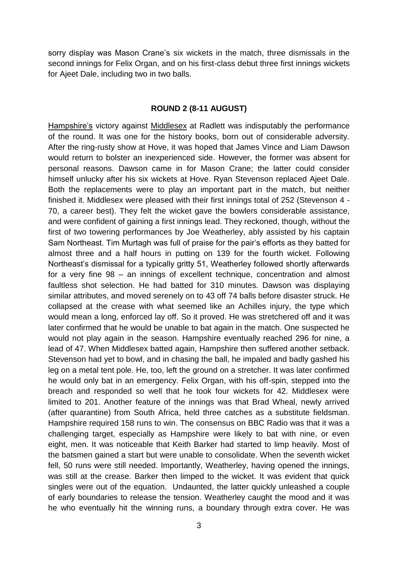sorry display was Mason Crane's six wickets in the match, three dismissals in the second innings for Felix Organ, and on his first-class debut three first innings wickets for Ajeet Dale, including two in two balls.

#### **ROUND 2 (8-11 AUGUST)**

Hampshire's victory against Middlesex at Radlett was indisputably the performance of the round. It was one for the history books, born out of considerable adversity. After the ring-rusty show at Hove, it was hoped that James Vince and Liam Dawson would return to bolster an inexperienced side. However, the former was absent for personal reasons. Dawson came in for Mason Crane; the latter could consider himself unlucky after his six wickets at Hove. Ryan Stevenson replaced Ajeet Dale. Both the replacements were to play an important part in the match, but neither finished it. Middlesex were pleased with their first innings total of 252 (Stevenson 4 - 70, a career best). They felt the wicket gave the bowlers considerable assistance, and were confident of gaining a first innings lead. They reckoned, though, without the first of two towering performances by Joe Weatherley, ably assisted by his captain Sam Northeast. Tim Murtagh was full of praise for the pair's efforts as they batted for almost three and a half hours in putting on 139 for the fourth wicket. Following Northeast's dismissal for a typically gritty 51, Weatherley followed shortly afterwards for a very fine 98 – an innings of excellent technique, concentration and almost faultless shot selection. He had batted for 310 minutes. Dawson was displaying similar attributes, and moved serenely on to 43 off 74 balls before disaster struck. He collapsed at the crease with what seemed like an Achilles injury, the type which would mean a long, enforced lay off. So it proved. He was stretchered off and it was later confirmed that he would be unable to bat again in the match. One suspected he would not play again in the season. Hampshire eventually reached 296 for nine, a lead of 47. When Middlesex batted again, Hampshire then suffered another setback. Stevenson had yet to bowl, and in chasing the ball, he impaled and badly gashed his leg on a metal tent pole. He, too, left the ground on a stretcher. It was later confirmed he would only bat in an emergency. Felix Organ, with his off-spin, stepped into the breach and responded so well that he took four wickets for 42. Middlesex were limited to 201. Another feature of the innings was that Brad Wheal, newly arrived (after quarantine) from South Africa, held three catches as a substitute fieldsman. Hampshire required 158 runs to win. The consensus on BBC Radio was that it was a challenging target, especially as Hampshire were likely to bat with nine, or even eight, men. It was noticeable that Keith Barker had started to limp heavily. Most of the batsmen gained a start but were unable to consolidate. When the seventh wicket fell, 50 runs were still needed. Importantly, Weatherley, having opened the innings, was still at the crease. Barker then limped to the wicket. It was evident that quick singles were out of the equation. Undaunted, the latter quickly unleashed a couple of early boundaries to release the tension. Weatherley caught the mood and it was he who eventually hit the winning runs, a boundary through extra cover. He was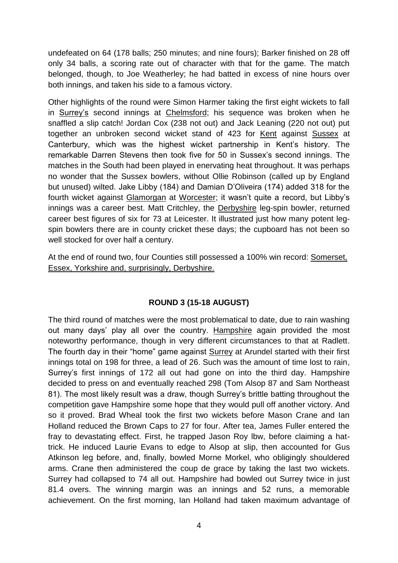undefeated on 64 (178 balls; 250 minutes; and nine fours); Barker finished on 28 off only 34 balls, a scoring rate out of character with that for the game. The match belonged, though, to Joe Weatherley; he had batted in excess of nine hours over both innings, and taken his side to a famous victory.

Other highlights of the round were Simon Harmer taking the first eight wickets to fall in Surrey's second innings at Chelmsford; his sequence was broken when he snaffled a slip catch! Jordan Cox (238 not out) and Jack Leaning (220 not out) put together an unbroken second wicket stand of 423 for Kent against Sussex at Canterbury, which was the highest wicket partnership in Kent's history. The remarkable Darren Stevens then took five for 50 in Sussex's second innings. The matches in the South had been played in enervating heat throughout. It was perhaps no wonder that the Sussex bowlers, without Ollie Robinson (called up by England but unused) wilted. Jake Libby (184) and Damian D'Oliveira (174) added 318 for the fourth wicket against Glamorgan at Worcester; it wasn't quite a record, but Libby's innings was a career best. Matt Critchley, the Derbyshire leg-spin bowler, returned career best figures of six for 73 at Leicester. It illustrated just how many potent legspin bowlers there are in county cricket these days; the cupboard has not been so well stocked for over half a century.

At the end of round two, four Counties still possessed a 100% win record: Somerset, Essex, Yorkshire and, surprisingly, Derbyshire.

## **ROUND 3 (15-18 AUGUST)**

The third round of matches were the most problematical to date, due to rain washing out many days' play all over the country. Hampshire again provided the most noteworthy performance, though in very different circumstances to that at Radlett. The fourth day in their "home" game against Surrey at Arundel started with their first innings total on 198 for three, a lead of 26. Such was the amount of time lost to rain, Surrey's first innings of 172 all out had gone on into the third day. Hampshire decided to press on and eventually reached 298 (Tom Alsop 87 and Sam Northeast 81). The most likely result was a draw, though Surrey's brittle batting throughout the competition gave Hampshire some hope that they would pull off another victory. And so it proved. Brad Wheal took the first two wickets before Mason Crane and Ian Holland reduced the Brown Caps to 27 for four. After tea, James Fuller entered the fray to devastating effect. First, he trapped Jason Roy lbw, before claiming a hattrick. He induced Laurie Evans to edge to Alsop at slip, then accounted for Gus Atkinson leg before, and, finally, bowled Morne Morkel, who obligingly shouldered arms. Crane then administered the coup de grace by taking the last two wickets. Surrey had collapsed to 74 all out. Hampshire had bowled out Surrey twice in just 81.4 overs. The winning margin was an innings and 52 runs, a memorable achievement. On the first morning, Ian Holland had taken maximum advantage of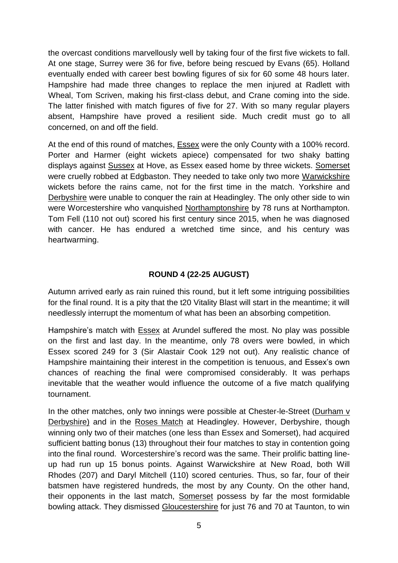the overcast conditions marvellously well by taking four of the first five wickets to fall. At one stage, Surrey were 36 for five, before being rescued by Evans (65). Holland eventually ended with career best bowling figures of six for 60 some 48 hours later. Hampshire had made three changes to replace the men injured at Radlett with Wheal, Tom Scriven, making his first-class debut, and Crane coming into the side. The latter finished with match figures of five for 27. With so many regular players absent, Hampshire have proved a resilient side. Much credit must go to all concerned, on and off the field.

At the end of this round of matches, Essex were the only County with a 100% record. Porter and Harmer (eight wickets apiece) compensated for two shaky batting displays against Sussex at Hove, as Essex eased home by three wickets. Somerset were cruelly robbed at Edgbaston. They needed to take only two more Warwickshire wickets before the rains came, not for the first time in the match. Yorkshire and Derbyshire were unable to conquer the rain at Headingley. The only other side to win were Worcestershire who vanquished Northamptonshire by 78 runs at Northampton. Tom Fell (110 not out) scored his first century since 2015, when he was diagnosed with cancer. He has endured a wretched time since, and his century was heartwarming.

# **ROUND 4 (22-25 AUGUST)**

Autumn arrived early as rain ruined this round, but it left some intriguing possibilities for the final round. It is a pity that the t20 Vitality Blast will start in the meantime; it will needlessly interrupt the momentum of what has been an absorbing competition.

Hampshire's match with **Essex** at Arundel suffered the most. No play was possible on the first and last day. In the meantime, only 78 overs were bowled, in which Essex scored 249 for 3 (Sir Alastair Cook 129 not out). Any realistic chance of Hampshire maintaining their interest in the competition is tenuous, and Essex's own chances of reaching the final were compromised considerably. It was perhaps inevitable that the weather would influence the outcome of a five match qualifying tournament.

In the other matches, only two innings were possible at Chester-le-Street (Durham v Derbyshire) and in the Roses Match at Headingley. However, Derbyshire, though winning only two of their matches (one less than Essex and Somerset), had acquired sufficient batting bonus (13) throughout their four matches to stay in contention going into the final round. Worcestershire's record was the same. Their prolific batting lineup had run up 15 bonus points. Against Warwickshire at New Road, both Will Rhodes (207) and Daryl Mitchell (110) scored centuries. Thus, so far, four of their batsmen have registered hundreds, the most by any County. On the other hand, their opponents in the last match, Somerset possess by far the most formidable bowling attack. They dismissed Gloucestershire for just 76 and 70 at Taunton, to win